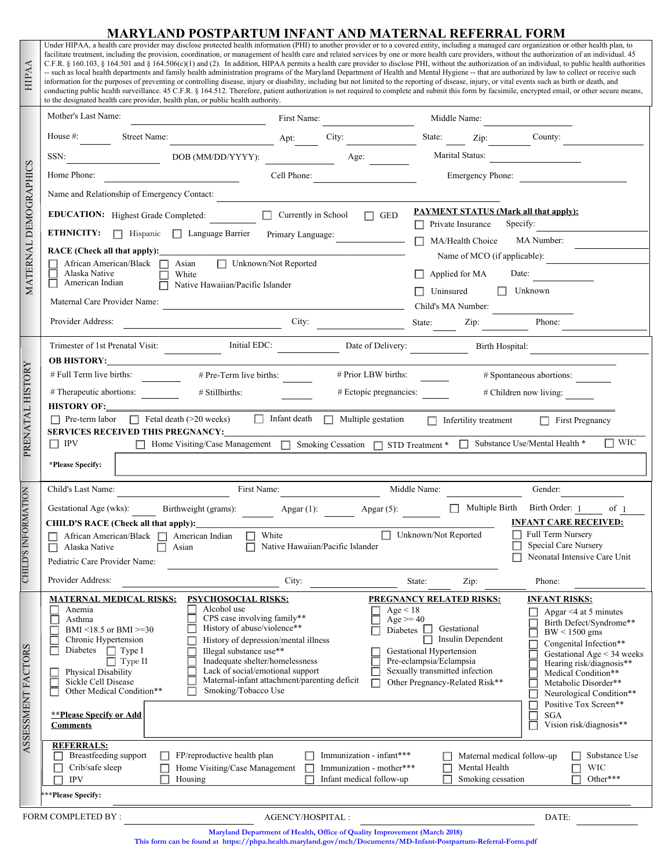#### **MARYLAND POSTPARTUM INFANT AND MATERNAL REFERRAL FORM**

Under HIPAA, a health care provider may disclose protected health information (PHI) to another provider or to a covered entity, including a managed care organization or other health plan, to facilitate treatment, including the provision, coordination, or management of health care and related services by one or more health care providers, without the authorization of an individual. 45 C.F.R. § 160.103, § 164.501 and § 164.506(c)(1) and (2). In addition, HIPAA permits a health care provider to disclose PHI, without the authorization of an individual, to public health authorities -- such as local health departments and family health administration programs of the Maryland Department of Health and Mental Hygiene -- that are authorized by law to collect or receive such information for the purposes of preventing or controlling disease, injury or disability, including but not limited to the reporting of disease, injury, or vital events such as birth or death, and conducting public health surveillance. 45 C.F.R. § 164.512. Therefore, patient authorization is not required to complete and submit this form by facsimile, encrypted email, or other secure means, to the designated health care provider, health plan, or public health authority.

**HIPAA** 

| HIPAA                 | C.F.R. § 160.103, § 164.501 and § 164.506(c)(1) and (2). In addition, HIPAA permits a health care provider to disclose PHI, without the authorization of an individual, to public health authorities<br>-- such as local health departments and family health administration programs of the Maryland Department of Health and Mental Hygiene -- that are authorized by law to collect or receive such<br>information for the purposes of preventing or controlling disease, injury or disability, including but not limited to the reporting of disease, injury, or vital events such as birth or death, and<br>conducting public health surveillance. 45 C.F.R. § 164.512. Therefore, patient authorization is not required to complete and submit this form by facsimile, encrypted email, or other secure means, |                                                                                                              |
|-----------------------|----------------------------------------------------------------------------------------------------------------------------------------------------------------------------------------------------------------------------------------------------------------------------------------------------------------------------------------------------------------------------------------------------------------------------------------------------------------------------------------------------------------------------------------------------------------------------------------------------------------------------------------------------------------------------------------------------------------------------------------------------------------------------------------------------------------------|--------------------------------------------------------------------------------------------------------------|
|                       | to the designated health care provider, health plan, or public health authority.<br>Mother's Last Name:<br>First Name:                                                                                                                                                                                                                                                                                                                                                                                                                                                                                                                                                                                                                                                                                               | Middle Name:                                                                                                 |
| MATERNAL DEMOGRAPHICS | House #: Street Name:<br>Apt:<br>City:                                                                                                                                                                                                                                                                                                                                                                                                                                                                                                                                                                                                                                                                                                                                                                               | State: Zip: County:<br>$\blacktriangleright$                                                                 |
|                       | SSN:<br>DOB (MM/DD/YYYY):<br>Age:                                                                                                                                                                                                                                                                                                                                                                                                                                                                                                                                                                                                                                                                                                                                                                                    | Marital Status:<br>$\blacksquare$                                                                            |
|                       | Cell Phone:<br>Home Phone:                                                                                                                                                                                                                                                                                                                                                                                                                                                                                                                                                                                                                                                                                                                                                                                           | Emergency Phone:                                                                                             |
|                       | Name and Relationship of Emergency Contact:                                                                                                                                                                                                                                                                                                                                                                                                                                                                                                                                                                                                                                                                                                                                                                          |                                                                                                              |
|                       | EDUCATION: Highest Grade Completed: $\boxed{\bullet}$ Currently in School GED                                                                                                                                                                                                                                                                                                                                                                                                                                                                                                                                                                                                                                                                                                                                        | <b>PAYMENT STATUS (Mark all that apply):</b>                                                                 |
|                       | <b>ETHNICITY:</b>   Hispanic   Language Barrier<br>Primary Language:                                                                                                                                                                                                                                                                                                                                                                                                                                                                                                                                                                                                                                                                                                                                                 | Private Insurance<br>Specify:<br>$\Box$<br>MA Number:<br>MA/Health Choice                                    |
|                       | RACE (Check all that apply): 1992<br>African American/Black □ Asian<br>Unknown/Not Reported                                                                                                                                                                                                                                                                                                                                                                                                                                                                                                                                                                                                                                                                                                                          | Name of MCO (if applicable):                                                                                 |
|                       | Alaska Native<br>White<br>American Indian                                                                                                                                                                                                                                                                                                                                                                                                                                                                                                                                                                                                                                                                                                                                                                            | Applied for MA<br>Date:                                                                                      |
|                       | Native Hawaiian/Pacific Islander                                                                                                                                                                                                                                                                                                                                                                                                                                                                                                                                                                                                                                                                                                                                                                                     | $\Box$ Unknown<br>Uninsured                                                                                  |
|                       | Maternal Care Provider Name:<br>Provider Address:                                                                                                                                                                                                                                                                                                                                                                                                                                                                                                                                                                                                                                                                                                                                                                    | Child's MA Number:<br>State:<br>Phone:                                                                       |
|                       | $\overline{\phantom{a}}$ City:                                                                                                                                                                                                                                                                                                                                                                                                                                                                                                                                                                                                                                                                                                                                                                                       | Zip: $\qquad \qquad$                                                                                         |
| PRENATAL HISTORY      | $\boxed{\text{ } \bullet \text{ }}$ Initial EDC:<br><b>OB HISTORY:</b>                                                                                                                                                                                                                                                                                                                                                                                                                                                                                                                                                                                                                                                                                                                                               | Date of Delivery:<br>$\Box$<br>Birth Hospital:                                                               |
|                       | # Full Term live births:<br># Pre-Term live births:<br># Prior LBW births:                                                                                                                                                                                                                                                                                                                                                                                                                                                                                                                                                                                                                                                                                                                                           | # Spontaneous abortions:                                                                                     |
|                       | # Therapeutic abortions:<br># Stillbirths:<br><u> 1999 - Alban III, p</u>                                                                                                                                                                                                                                                                                                                                                                                                                                                                                                                                                                                                                                                                                                                                            | # Ectopic pregnancies:<br># Children now living:                                                             |
|                       | <b>HISTORY OF:</b><br>$\Box$ Pre-term labor $\Box$ Fetal death (>20 weeks) $\Box$ Infant death $\Box$ Multiple gestation                                                                                                                                                                                                                                                                                                                                                                                                                                                                                                                                                                                                                                                                                             | Infertility treatment First Pregnancy                                                                        |
|                       | <b>SERVICES RECEIVED THIS PREGNANCY:</b>                                                                                                                                                                                                                                                                                                                                                                                                                                                                                                                                                                                                                                                                                                                                                                             |                                                                                                              |
|                       | □ Home Visiting/Case Management □ Smoking Cessation □ STD Treatment * □ Substance Use/Mental Health *<br>$\Box$ IPV                                                                                                                                                                                                                                                                                                                                                                                                                                                                                                                                                                                                                                                                                                  | $\Box$ WIC                                                                                                   |
|                       | *Please Specify:                                                                                                                                                                                                                                                                                                                                                                                                                                                                                                                                                                                                                                                                                                                                                                                                     |                                                                                                              |
|                       | First Name:<br>Child's Last Name:                                                                                                                                                                                                                                                                                                                                                                                                                                                                                                                                                                                                                                                                                                                                                                                    | Middle Name:<br>Gender:<br>$\Box$                                                                            |
|                       | Gestational Age (wks):<br>Apgar (1): $\qquad \qquad$ Apgar (5):<br>Birthweight (grams):                                                                                                                                                                                                                                                                                                                                                                                                                                                                                                                                                                                                                                                                                                                              | Multiple Birth Birth Order: 1<br>of <sub>1</sub><br>$\boxed{\mathbf{v}}$<br><b>INFANT CARE RECEIVED:</b>     |
| NFORMATION            | <b>CHILD'S RACE (Check all that apply):</b><br>African American/Black □ American Indian<br>$\Box$ White                                                                                                                                                                                                                                                                                                                                                                                                                                                                                                                                                                                                                                                                                                              | Unknown/Not Reported<br><b>Full Term Nursery</b>                                                             |
|                       | $\Box$ Native Hawaiian/Pacific Islander<br>$\Box$ Asian<br>Alaska Native<br>$\mathsf{L}$<br>Pediatric Care Provider Name:                                                                                                                                                                                                                                                                                                                                                                                                                                                                                                                                                                                                                                                                                            | Special Care Nursery<br>Neonatal Intensive Care Unit                                                         |
| <b>CHILD'S</b>        |                                                                                                                                                                                                                                                                                                                                                                                                                                                                                                                                                                                                                                                                                                                                                                                                                      |                                                                                                              |
|                       |                                                                                                                                                                                                                                                                                                                                                                                                                                                                                                                                                                                                                                                                                                                                                                                                                      |                                                                                                              |
|                       | Provider Address:<br>City:                                                                                                                                                                                                                                                                                                                                                                                                                                                                                                                                                                                                                                                                                                                                                                                           | Phone:<br>State:<br>Zip:                                                                                     |
|                       | PSYCHOSOCIAL RISKS:<br><b>MATERNAL MEDICAL RISKS:</b><br>Alcohol use<br>Anemia<br>Age < 18                                                                                                                                                                                                                                                                                                                                                                                                                                                                                                                                                                                                                                                                                                                           | <b>PREGNANCY RELATED RISKS:</b><br><b>INFANT RISKS:</b><br>Apgar $\leq$ 4 at 5 minutes                       |
|                       | CPS case involving family**<br>Asthma<br>History of abuse/violence**<br>Diabetes<br>BMI <18.5 or BMI >=30                                                                                                                                                                                                                                                                                                                                                                                                                                                                                                                                                                                                                                                                                                            | $A\bar{g}e = 40$<br>Birth Defect/Syndrome**<br>Gestational<br>$BW < 1500$ gms                                |
|                       | Chronic Hypertension<br>History of depression/mental illness<br>Diabetes<br>$\Box$ Type I<br>Illegal substance use**                                                                                                                                                                                                                                                                                                                                                                                                                                                                                                                                                                                                                                                                                                 | Insulin Dependent<br>Congenital Infection**<br><b>Gestational Hypertension</b><br>Gestational Age < 34 weeks |
|                       | Inadequate shelter/homelessness<br>Type II<br>Lack of social/emotional support<br>Physical Disability<br>Г                                                                                                                                                                                                                                                                                                                                                                                                                                                                                                                                                                                                                                                                                                           | Pre-eclampsia/Eclampsia<br>Hearing risk/diagnosis**<br>Sexually transmitted infection<br>Medical Condition** |
|                       | Maternal-infant attachment/parenting deficit<br>Sickle Cell Disease<br>Other Medical Condition**<br>Smoking/Tobacco Use<br>г                                                                                                                                                                                                                                                                                                                                                                                                                                                                                                                                                                                                                                                                                         | Other Pregnancy-Related Risk**<br>Metabolic Disorder**<br>Neurological Condition**<br>Е                      |
|                       | <b>**Please Specify or Add</b>                                                                                                                                                                                                                                                                                                                                                                                                                                                                                                                                                                                                                                                                                                                                                                                       | Positive Tox Screen**<br>⊏<br><b>SGA</b>                                                                     |
|                       | <b>Comments</b>                                                                                                                                                                                                                                                                                                                                                                                                                                                                                                                                                                                                                                                                                                                                                                                                      | $\Box$<br>Vision risk/diagnosis**                                                                            |
|                       | <b>REFERRALS:</b><br>FP/reproductive health plan<br>Immunization - infant***<br>Breastfeeding support                                                                                                                                                                                                                                                                                                                                                                                                                                                                                                                                                                                                                                                                                                                | Maternal medical follow-up<br>Substance Use<br>H                                                             |
| ASSESSMENT FACTORS    | Crib/safe sleep<br>Home Visiting/Case Management<br>Immunization - mother***                                                                                                                                                                                                                                                                                                                                                                                                                                                                                                                                                                                                                                                                                                                                         | Mental Health<br><b>WIC</b><br>Г                                                                             |
|                       | Housing<br>Infant medical follow-up<br><b>IPV</b><br>***Please Specify:                                                                                                                                                                                                                                                                                                                                                                                                                                                                                                                                                                                                                                                                                                                                              | Smoking cessation<br>Other***                                                                                |